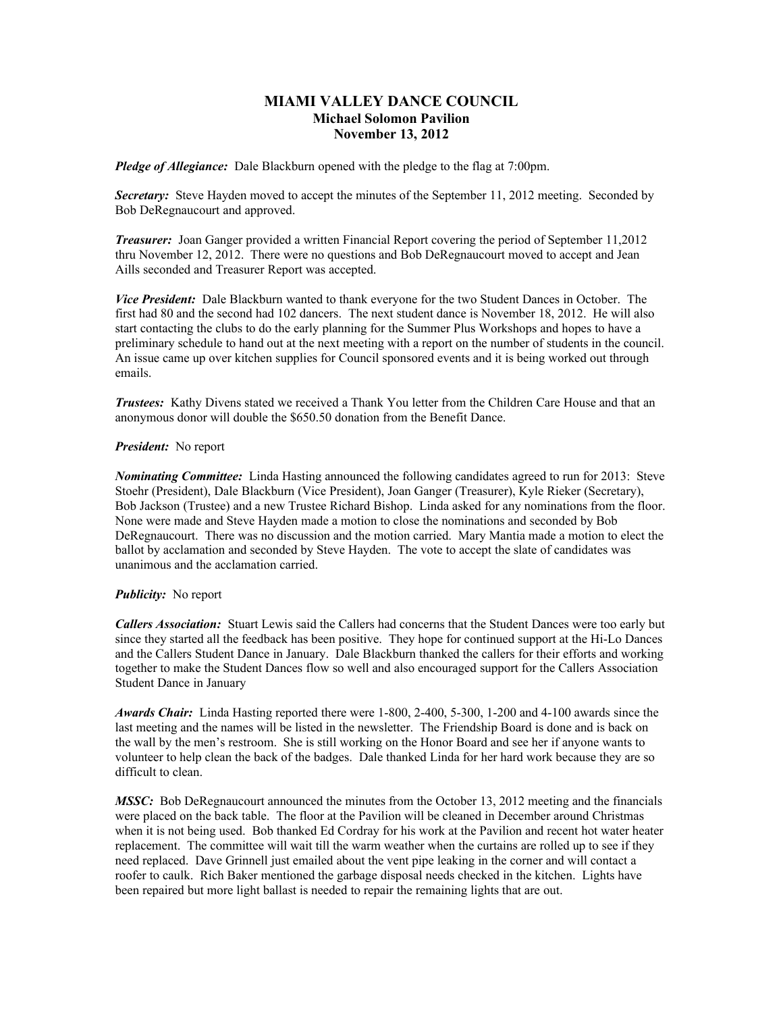# **MIAMI VALLEY DANCE COUNCIL Michael Solomon Pavilion November 13, 2012**

*Pledge of Allegiance:* Dale Blackburn opened with the pledge to the flag at 7:00pm.

**Secretary:** Steve Hayden moved to accept the minutes of the September 11, 2012 meeting. Seconded by Bob DeRegnaucourt and approved.

*Treasurer:* Joan Ganger provided a written Financial Report covering the period of September 11,2012 thru November 12, 2012. There were no questions and Bob DeRegnaucourt moved to accept and Jean Aills seconded and Treasurer Report was accepted.

*Vice President:* Dale Blackburn wanted to thank everyone for the two Student Dances in October. The first had 80 and the second had 102 dancers. The next student dance is November 18, 2012. He will also start contacting the clubs to do the early planning for the Summer Plus Workshops and hopes to have a preliminary schedule to hand out at the next meeting with a report on the number of students in the council. An issue came up over kitchen supplies for Council sponsored events and it is being worked out through emails.

*Trustees:* Kathy Divens stated we received a Thank You letter from the Children Care House and that an anonymous donor will double the \$650.50 donation from the Benefit Dance.

## *President:* No report

*Nominating Committee:* Linda Hasting announced the following candidates agreed to run for 2013: Steve Stoehr (President), Dale Blackburn (Vice President), Joan Ganger (Treasurer), Kyle Rieker (Secretary), Bob Jackson (Trustee) and a new Trustee Richard Bishop. Linda asked for any nominations from the floor. None were made and Steve Hayden made a motion to close the nominations and seconded by Bob DeRegnaucourt. There was no discussion and the motion carried. Mary Mantia made a motion to elect the ballot by acclamation and seconded by Steve Hayden. The vote to accept the slate of candidates was unanimous and the acclamation carried.

### *Publicity:* No report

*Callers Association:* Stuart Lewis said the Callers had concerns that the Student Dances were too early but since they started all the feedback has been positive. They hope for continued support at the Hi-Lo Dances and the Callers Student Dance in January. Dale Blackburn thanked the callers for their efforts and working together to make the Student Dances flow so well and also encouraged support for the Callers Association Student Dance in January

*Awards Chair:* Linda Hasting reported there were 1-800, 2-400, 5-300, 1-200 and 4-100 awards since the last meeting and the names will be listed in the newsletter. The Friendship Board is done and is back on the wall by the men's restroom. She is still working on the Honor Board and see her if anyone wants to volunteer to help clean the back of the badges. Dale thanked Linda for her hard work because they are so difficult to clean.

*MSSC:* Bob DeRegnaucourt announced the minutes from the October 13, 2012 meeting and the financials were placed on the back table. The floor at the Pavilion will be cleaned in December around Christmas when it is not being used. Bob thanked Ed Cordray for his work at the Pavilion and recent hot water heater replacement. The committee will wait till the warm weather when the curtains are rolled up to see if they need replaced. Dave Grinnell just emailed about the vent pipe leaking in the corner and will contact a roofer to caulk. Rich Baker mentioned the garbage disposal needs checked in the kitchen. Lights have been repaired but more light ballast is needed to repair the remaining lights that are out.